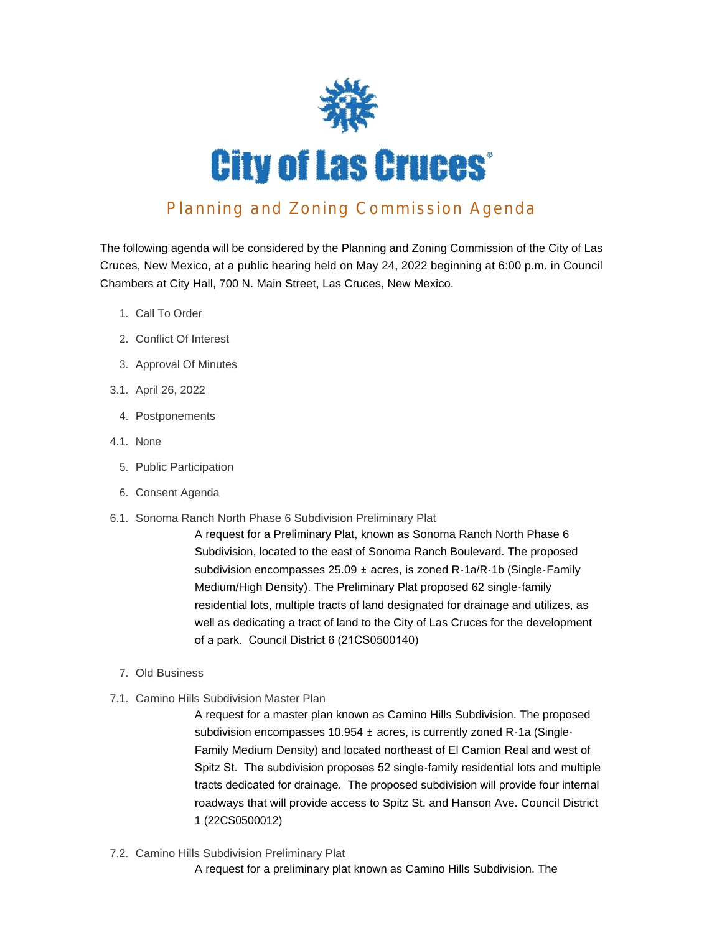

## Planning and Zoning Commission Agenda

The following agenda will be considered by the Planning and Zoning Commission of the City of Las Cruces, New Mexico, at a public hearing held on May 24, 2022 beginning at 6:00 p.m. in Council Chambers at City Hall, 700 N. Main Street, Las Cruces, New Mexico.

- 1. Call To Order
- 2. Conflict Of Interest
- 3. Approval Of Minutes
- 3.1. April 26, 2022
	- 4. Postponements
- 4.1. None
	- 5. Public Participation
	- 6. Consent Agenda
- 6.1. Sonoma Ranch North Phase 6 Subdivision Preliminary Plat

A request for a Preliminary Plat, known as Sonoma Ranch North Phase 6 Subdivision, located to the east of Sonoma Ranch Boulevard. The proposed subdivision encompasses 25.09 ± acres, is zoned R-1a/R-1b (Single-Family Medium/High Density). The Preliminary Plat proposed 62 single-family residential lots, multiple tracts of land designated for drainage and utilizes, as well as dedicating a tract of land to the City of Las Cruces for the development of a park. Council District 6 (21CS0500140)

- Old Business 7.
- 7.1. Camino Hills Subdivision Master Plan

A request for a master plan known as Camino Hills Subdivision. The proposed subdivision encompasses 10.954 ± acres, is currently zoned R-1a (Single-Family Medium Density) and located northeast of El Camion Real and west of Spitz St. The subdivision proposes 52 single-family residential lots and multiple tracts dedicated for drainage. The proposed subdivision will provide four internal roadways that will provide access to Spitz St. and Hanson Ave. Council District 1 (22CS0500012)

7.2. Camino Hills Subdivision Preliminary Plat

A request for a preliminary plat known as Camino Hills Subdivision. The